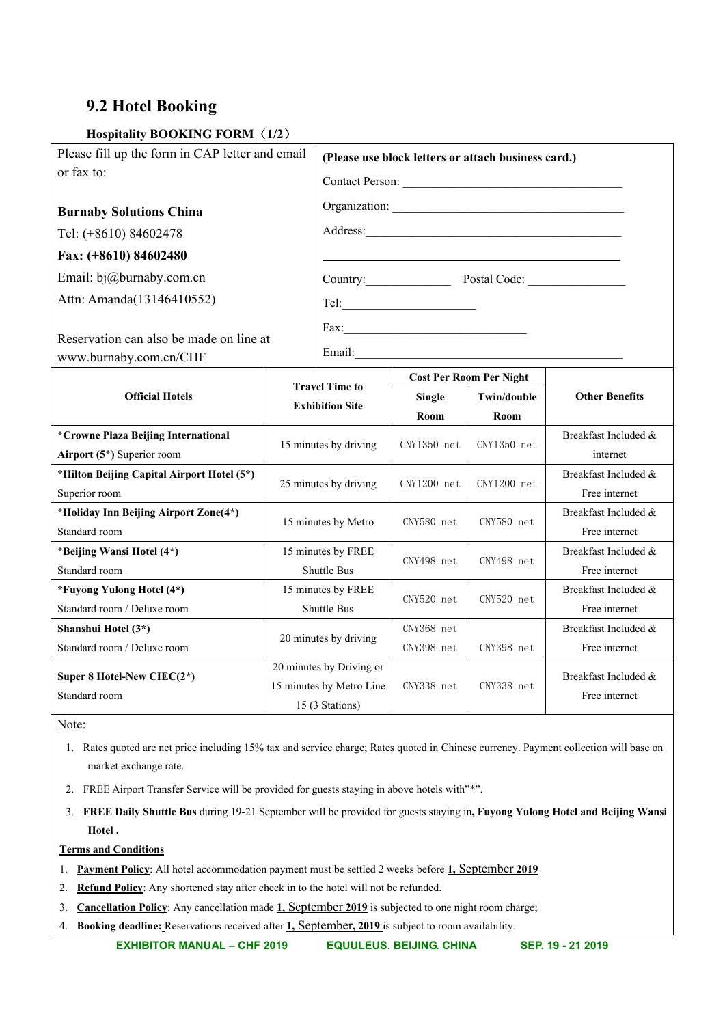## **9.2 Hotel Booking**

## **Hospitality BOOKING FORM**(**1/2**)

| Please fill up the form in CAP letter and email |                                                                         | (Please use block letters or attach business card.) |                                |               |                       |  |
|-------------------------------------------------|-------------------------------------------------------------------------|-----------------------------------------------------|--------------------------------|---------------|-----------------------|--|
| or fax to:                                      |                                                                         | Contact Person:                                     |                                |               |                       |  |
| <b>Burnaby Solutions China</b>                  |                                                                         |                                                     |                                |               |                       |  |
| Tel: (+8610) 84602478                           |                                                                         |                                                     |                                |               |                       |  |
| Fax: (+8610) 84602480                           |                                                                         |                                                     |                                |               |                       |  |
|                                                 |                                                                         |                                                     |                                |               |                       |  |
| Email: bj@burnaby.com.cn                        |                                                                         | Country: Postal Code:                               |                                |               |                       |  |
| Attn: Amanda(13146410552)                       |                                                                         |                                                     |                                |               |                       |  |
|                                                 |                                                                         | Fax:                                                |                                |               |                       |  |
| Reservation can also be made on line at         |                                                                         | Email: Email:                                       |                                |               |                       |  |
| www.burnaby.com.cn/CHF                          |                                                                         |                                                     |                                |               |                       |  |
|                                                 | <b>Travel Time to</b><br><b>Exhibition Site</b>                         |                                                     | <b>Cost Per Room Per Night</b> |               |                       |  |
| <b>Official Hotels</b>                          |                                                                         |                                                     | <b>Single</b>                  | Twin/double   | <b>Other Benefits</b> |  |
|                                                 |                                                                         |                                                     | Room                           | Room          |                       |  |
| *Crowne Plaza Beijing International             | 15 minutes by driving                                                   |                                                     | $CNY1350$ net                  | $CNY1350$ net | Breakfast Included &  |  |
| Airport (5*) Superior room                      |                                                                         |                                                     |                                |               | internet              |  |
| *Hilton Beijing Capital Airport Hotel (5*)      |                                                                         | 25 minutes by driving                               | $CNY1200$ net                  | CNY1200 net   | Breakfast Included &  |  |
| Superior room                                   |                                                                         |                                                     |                                |               | Free internet         |  |
| *Holiday Inn Beijing Airport Zone(4*)           | 15 minutes by Metro                                                     |                                                     | CNY580 net                     | CNY580 net    | Breakfast Included &  |  |
| Standard room                                   |                                                                         |                                                     |                                |               | Free internet         |  |
| *Beijing Wansi Hotel (4*)                       | 15 minutes by FREE                                                      |                                                     | CNY498 net                     | CNY498 net    | Breakfast Included &  |  |
| Standard room                                   | <b>Shuttle Bus</b>                                                      |                                                     |                                |               | Free internet         |  |
| *Fuyong Yulong Hotel (4*)                       | 15 minutes by FREE                                                      |                                                     | CNY520 net                     | CNY520 net    | Breakfast Included &  |  |
| Standard room / Deluxe room                     | <b>Shuttle Bus</b>                                                      |                                                     |                                |               | Free internet         |  |
| Shanshui Hotel (3*)                             | 20 minutes by driving                                                   |                                                     | CNY368 net                     |               | Breakfast Included &  |  |
| Standard room / Deluxe room                     |                                                                         |                                                     | CNY398 net                     | CNY398 net    | Free internet         |  |
| Super 8 Hotel-New CIEC(2*)                      | 20 minutes by Driving or<br>15 minutes by Metro Line<br>15 (3 Stations) |                                                     | CNY338 net                     |               | Breakfast Included &  |  |
| Standard room                                   |                                                                         |                                                     |                                | CNY338 net    | Free internet         |  |
|                                                 |                                                                         |                                                     |                                |               |                       |  |

Note:

1. Rates quoted are net price including 15% tax and service charge; Rates quoted in Chinese currency. Payment collection will base on market exchange rate.

- 2. FREE Airport Transfer Service will be provided for guests staying in above hotels with"\*".
- 3. **FREE Daily Shuttle Bus** during 19-21 September will be provided for guests staying in**, Fuyong Yulong Hotel and Beijing Wansi Hotel .**

## **Terms and Conditions**

- 1. **Payment Policy**: All hotel accommodation payment must be settled 2 weeks before **1,** September **2019**
- 2. **Refund Policy**: Any shortened stay after check in to the hotel will not be refunded.
- 3. **Cancellation Policy**: Any cancellation made **1,** September **2019** is subjected to one night room charge;
- 4. **Booking deadline:** Reservations received after **1,** September**, 2019** is subject to room availability.